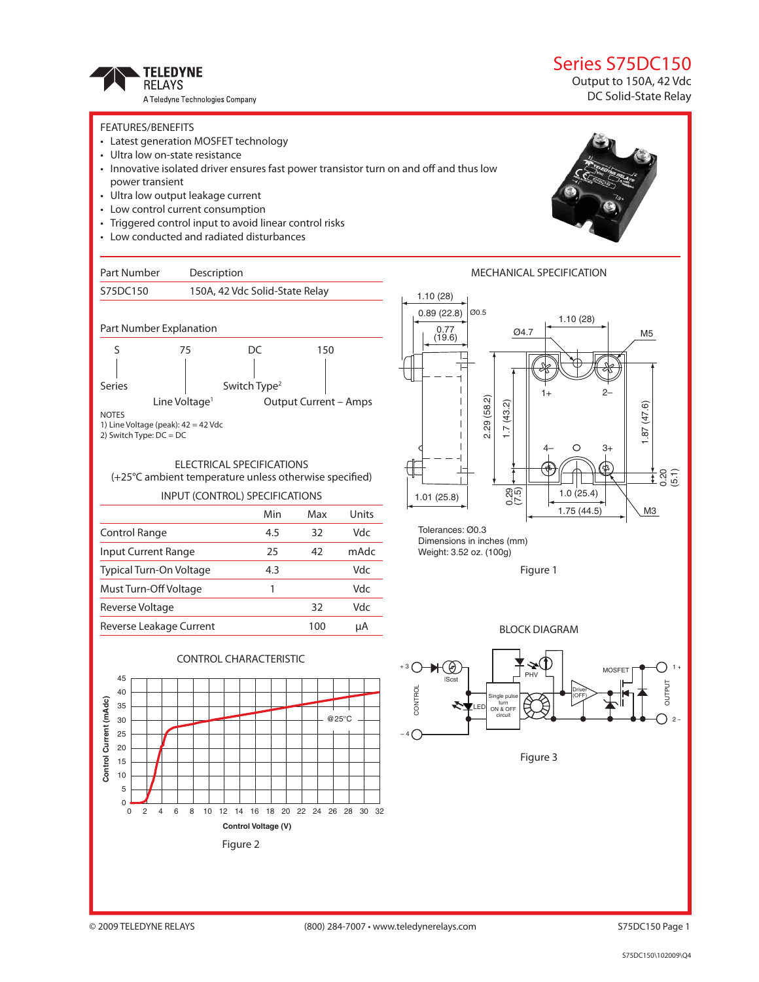

### Series S75DC150

Output to 150A, 42 Vdc DC Solid-State Relay

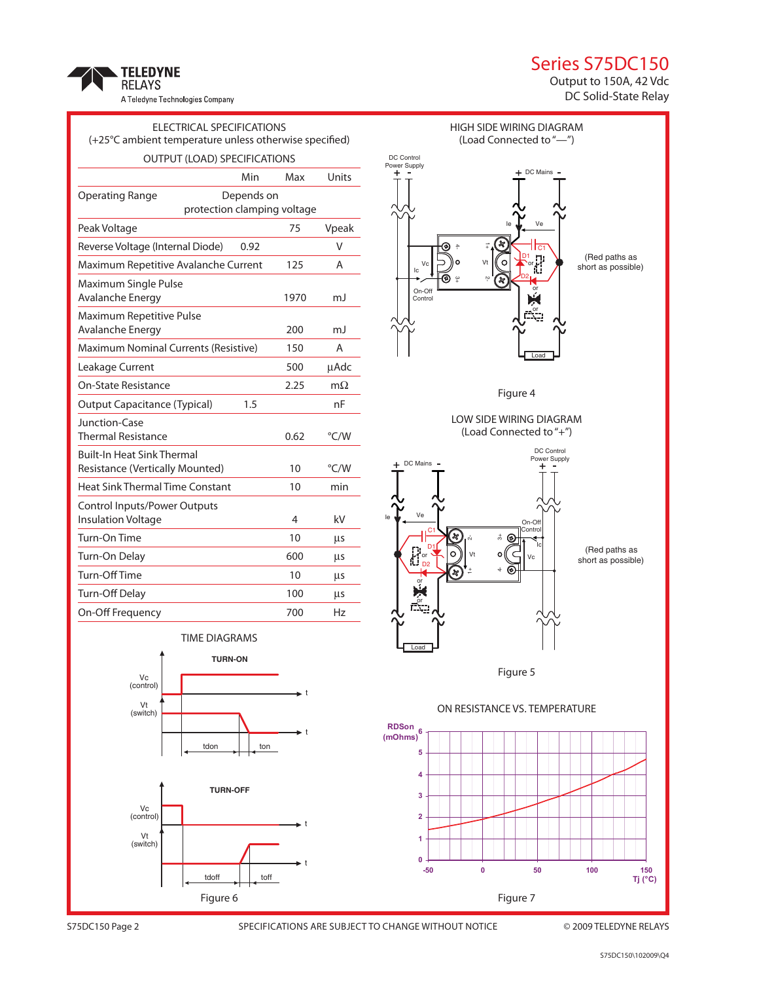## Series S75DC150



TELEDYNE<br>Relays A Teledyne Technologies Company

| ELECTRICAL SPECIFICATIONS                                            |            |      |           |
|----------------------------------------------------------------------|------------|------|-----------|
| (+25°C ambient temperature unless otherwise specified)               |            |      |           |
| OUTPUT (LOAD) SPECIFICATIONS                                         |            |      |           |
|                                                                      | Min        | Max  | Units     |
| <b>Operating Range</b>                                               | Depends on |      |           |
| protection clamping voltage                                          |            |      |           |
| Peak Voltage                                                         |            | 75   | Vpeak     |
| Reverse Voltage (Internal Diode)                                     | 0.92       |      | V         |
| Maximum Repetitive Avalanche Current                                 |            | 125  | Α         |
| Maximum Single Pulse<br>Avalanche Energy                             |            | 1970 | mJ        |
| Maximum Repetitive Pulse<br>Avalanche Energy                         |            | 200  | mJ        |
| Maximum Nominal Currents (Resistive)                                 |            | 150  | Α         |
| Leakage Current                                                      |            | 500  | uAdc      |
| On-State Resistance                                                  |            | 2.25 | $m\Omega$ |
| <b>Output Capacitance (Typical)</b>                                  | 1.5        |      | nF        |
| Junction-Case<br><b>Thermal Resistance</b>                           |            | 0.62 | °C/W      |
| <b>Built-In Heat Sink Thermal</b><br>Resistance (Vertically Mounted) |            | 10   | °C/W      |
| <b>Heat Sink Thermal Time Constant</b>                               |            | 10   | min       |
| Control Inputs/Power Outputs<br><b>Insulation Voltage</b>            |            | 4    | kV        |
| Turn-On Time                                                         |            | 10   | μs        |
| Turn-On Delay                                                        |            | 600  | μs        |
| Turn-Off Time                                                        |            | 10   | μs        |
| Turn-Off Delay                                                       |            | 100  | μs        |
| On-Off Frequency                                                     |            | 700  | Hz        |
| TIME DIAGRAMS                                                        |            |      |           |
| <b>TURN-ON</b>                                                       |            |      |           |
| Vc<br>(control)                                                      |            |      |           |
| Vt<br>(switch)                                                       |            |      |           |

tdon | ton

**TURN-OFF**

tdoff | toff

Figure 6

t

t

t





Vc (control) Vt (switch)

S75DC150 Page 2 SPECIFICATIONS ARE SUBJECT TO CHANGE WITHOUT NOTICE © 2009 TELEDYNE RELAYS